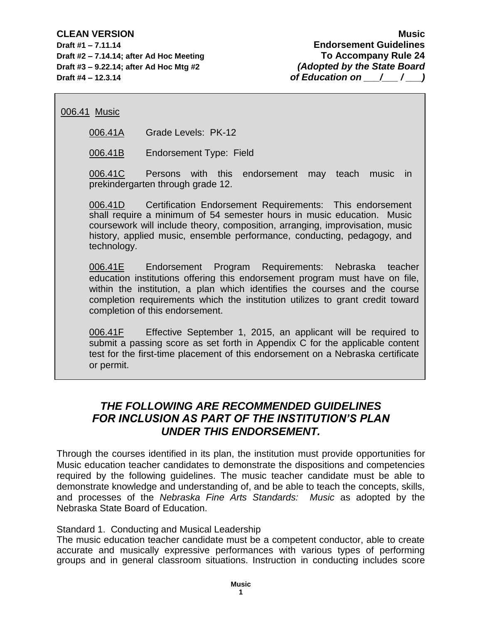**Draft #2 – 7.14.14; after Ad Hoc Meeting To Accompany Rule 24 Draft #3 – 9.22.14; after Ad Hoc Mtg #2** *(Adopted by the State Board* **Draft #4 – 12.3.14** *of Education on*  $\left(\begin{array}{cc} 1 & 0 \\ 0 & 1 \end{array}\right)$ 

006.41 Music

006.41A Grade Levels: PK-12

006.41B Endorsement Type: Field

006.41C Persons with this endorsement may teach music in prekindergarten through grade 12.

006.41D Certification Endorsement Requirements: This endorsement shall require a minimum of 54 semester hours in music education. Music coursework will include theory, composition, arranging, improvisation, music history, applied music, ensemble performance, conducting, pedagogy, and technology.

006.41E Endorsement Program Requirements: Nebraska teacher education institutions offering this endorsement program must have on file, within the institution, a plan which identifies the courses and the course completion requirements which the institution utilizes to grant credit toward completion of this endorsement.

006.41F Effective September 1, 2015, an applicant will be required to submit a passing score as set forth in Appendix C for the applicable content test for the first-time placement of this endorsement on a Nebraska certificate or permit.

# *THE FOLLOWING ARE RECOMMENDED GUIDELINES FOR INCLUSION AS PART OF THE INSTITUTION'S PLAN UNDER THIS ENDORSEMENT.*

Through the courses identified in its plan, the institution must provide opportunities for Music education teacher candidates to demonstrate the dispositions and competencies required by the following guidelines. The music teacher candidate must be able to demonstrate knowledge and understanding of, and be able to teach the concepts, skills, and processes of the *Nebraska Fine Arts Standards: Music* as adopted by the Nebraska State Board of Education.

## Standard 1. Conducting and Musical Leadership

The music education teacher candidate must be a competent conductor, able to create accurate and musically expressive performances with various types of performing groups and in general classroom situations. Instruction in conducting includes score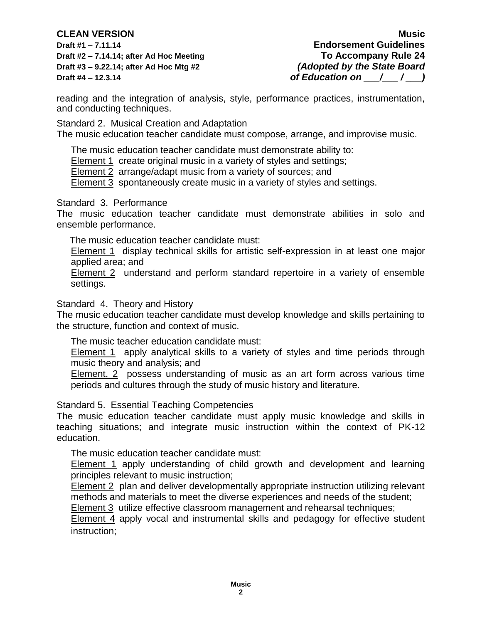**Draft #2 – 7.14.14; after Ad Hoc Meeting To Accompany Rule 24 Draft #3 – 9.22.14; after Ad Hoc Mtg #2** *(Adopted by the State Board* **Draft #4 – 12.3.14** *of Education on*  $\left(\begin{array}{cc} 1 & 0 \\ 1 & 0 \end{array}\right)$ 

**CLEAN VERSION Music Draft #1 – 7.11.14 Endorsement Guidelines** 

reading and the integration of analysis, style, performance practices, instrumentation, and conducting techniques.

Standard 2. Musical Creation and Adaptation

The music education teacher candidate must compose, arrange, and improvise music.

The music education teacher candidate must demonstrate ability to:

Element 1 create original music in a variety of styles and settings;

Element 2 arrange/adapt music from a variety of sources; and

Element 3 spontaneously create music in a variety of styles and settings.

Standard 3. Performance

The music education teacher candidate must demonstrate abilities in solo and ensemble performance.

The music education teacher candidate must:

Element 1 display technical skills for artistic self-expression in at least one major applied area; and

Element 2 understand and perform standard repertoire in a variety of ensemble settings.

Standard 4. Theory and History

The music education teacher candidate must develop knowledge and skills pertaining to the structure, function and context of music.

The music teacher education candidate must:

Element 1 apply analytical skills to a variety of styles and time periods through music theory and analysis; and

Element. 2 possess understanding of music as an art form across various time periods and cultures through the study of music history and literature.

Standard 5. Essential Teaching Competencies

The music education teacher candidate must apply music knowledge and skills in teaching situations; and integrate music instruction within the context of PK-12 education.

The music education teacher candidate must:

Element 1 apply understanding of child growth and development and learning principles relevant to music instruction;

Element 2 plan and deliver developmentally appropriate instruction utilizing relevant methods and materials to meet the diverse experiences and needs of the student;

Element 3 utilize effective classroom management and rehearsal techniques;

Element 4 apply vocal and instrumental skills and pedagogy for effective student instruction;